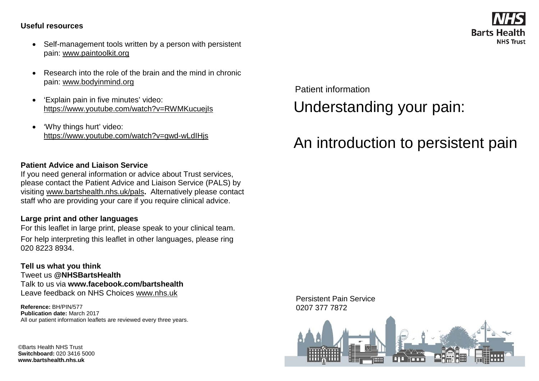#### **Useful resources**

- Self-management tools written by a person with persistent pain: [www.paintoolkit.org](http://www.paintoolkit.org/)
- Research into the role of the brain and the mind in chronic pain: [www.bodyinmind.org](http://www.bodyinmind.org/)
- 'Explain pain in five minutes' video: <https://www.youtube.com/watch?v=RWMKucuejIs>
- 'Why things hurt' video: <https://www.youtube.com/watch?v=gwd-wLdIHjs>

### **Patient Advice and Liaison Service**

If you need general information or advice about Trust services, please contact the Patient Advice and Liaison Service (PALS) by visiting [www.bartshealth.nhs.uk/pals](http://www.bartshealth.nhs.uk/pals)**.** Alternatively please contact staff who are providing your care if you require clinical advice.

### **Large print and other languages**

For this leaflet in large print, please speak to your clinical team. For help interpreting this leaflet in other languages, please ring 020 8223 8934.

**Tell us what you think** Tweet us **@NHSBartsHealth** Talk to us via **www.facebook.com/bartshealth** Leave feedback on NHS Choices [www.nhs.uk](http://www.nhs.uk/)

**Reference:** BH/PIN/577 **Publication date:** March 2017 All our patient information leaflets are reviewed every three years.

©Barts Health NHS Trust **Switchboard:** 020 3416 5000 **www.bartshealth.nhs.uk**

Patient information Understanding your pain:

# An introduction to persistent pain





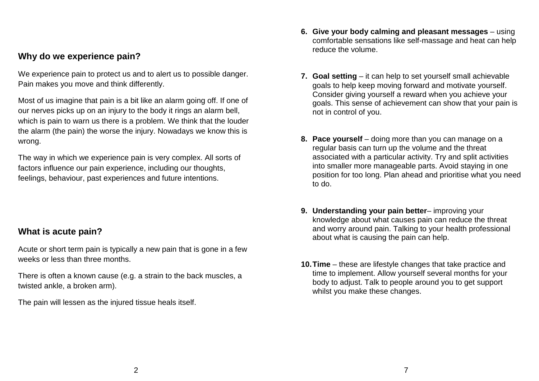## **Why do we experience pain?**

We experience pain to protect us and to alert us to possible danger. Pain makes you move and think differently.

Most of us imagine that pain is a bit like an alarm going off. If one of our nerves picks up on an injury to the body it rings an alarm bell, which is pain to warn us there is a problem. We think that the louder the alarm (the pain) the worse the injury. Nowadays we know this is wrong.

The way in which we experience pain is very complex. All sorts of factors influence our pain experience, including our thoughts, feelings, behaviour, past experiences and future intentions.

## **What is acute pain?**

Acute or short term pain is typically a new pain that is gone in a few weeks or less than three months.

There is often a known cause (e.g. a strain to the back muscles, a twisted ankle, a broken arm).

The pain will lessen as the injured tissue heals itself.

- **6. Give your body calming and pleasant messages** using comfortable sensations like self-massage and heat can help reduce the volume.
- **7. Goal setting** it can help to set yourself small achievable goals to help keep moving forward and motivate yourself. Consider giving yourself a reward when you achieve your goals. This sense of achievement can show that your pain is not in control of you.
- **8. Pace yourself** doing more than you can manage on a regular basis can turn up the volume and the threat associated with a particular activity. Try and split activities into smaller more manageable parts. Avoid staying in one position for too long. Plan ahead and prioritise what you need to do.
- **9. Understanding your pain better** improving your knowledge about what causes pain can reduce the threat and worry around pain. Talking to your health professional about what is causing the pain can help.
- **10.Time** these are lifestyle changes that take practice and time to implement. Allow yourself several months for your body to adjust. Talk to people around you to get support whilst you make these changes.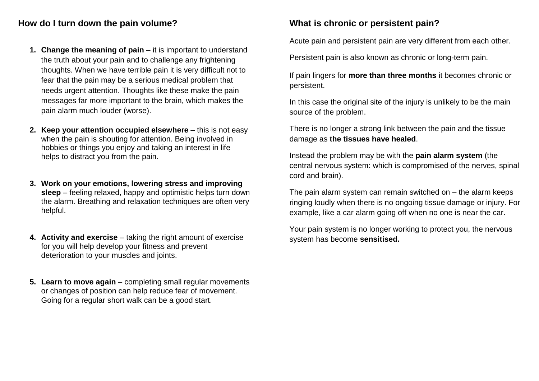## **How do I turn down the pain volume?**

- **1. Change the meaning of pain** it is important to understand the truth about your pain and to challenge any frightening thoughts. When we have terrible pain it is very difficult not to fear that the pain may be a serious medical problem that needs urgent attention. Thoughts like these make the pain messages far more important to the brain, which makes the pain alarm much louder (worse).
- **2. Keep your attention occupied elsewhere** this is not easy when the pain is shouting for attention. Being involved in hobbies or things you enjoy and taking an interest in life helps to distract you from the pain.
- **3. Work on your emotions, lowering stress and improving sleep** – feeling relaxed, happy and optimistic helps turn down the alarm. Breathing and relaxation techniques are often very helpful.
- **4. Activity and exercise** taking the right amount of exercise for you will help develop your fitness and prevent deterioration to your muscles and joints.
- **5. Learn to move again** completing small regular movements or changes of position can help reduce fear of movement. Going for a regular short walk can be a good start.

# **What is chronic or persistent pain?**

Acute pain and persistent pain are very different from each other.

Persistent pain is also known as chronic or long-term pain.

If pain lingers for **more than three months** it becomes chronic or persistent.

In this case the original site of the injury is unlikely to be the main source of the problem.

There is no longer a strong link between the pain and the tissue damage as **the tissues have healed**.

Instead the problem may be with the **pain alarm system** (the central nervous system: which is compromised of the nerves, spinal cord and brain).

The pain alarm system can remain switched on  $-$  the alarm keeps ringing loudly when there is no ongoing tissue damage or injury. For example, like a car alarm going off when no one is near the car.

Your pain system is no longer working to protect you, the nervous system has become **sensitised.**